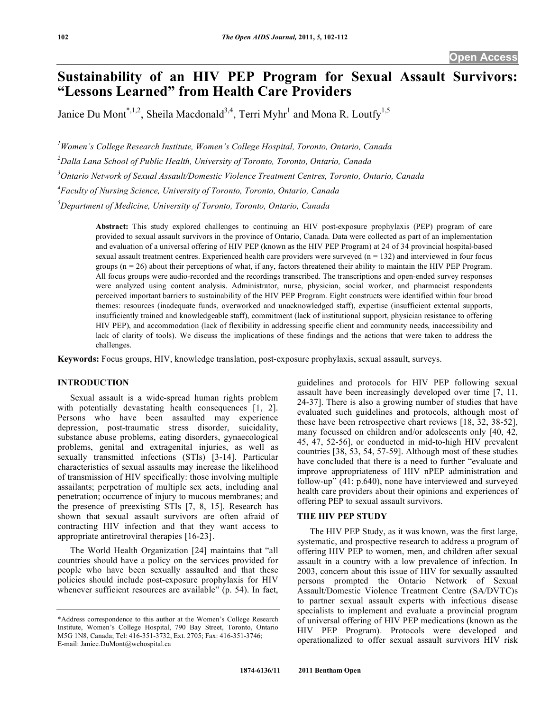# **Sustainability of an HIV PEP Program for Sexual Assault Survivors: "Lessons Learned" from Health Care Providers**

Janice Du Mont<sup>\*,1,2</sup>, Sheila Macdonald<sup>3,4</sup>, Terri Myhr<sup>1</sup> and Mona R. Loutfy<sup>1,5</sup>

*1 Women's College Research Institute, Women's College Hospital, Toronto, Ontario, Canada* 

*2 Dalla Lana School of Public Health, University of Toronto, Toronto, Ontario, Canada* 

*3 Ontario Network of Sexual Assault/Domestic Violence Treatment Centres, Toronto, Ontario, Canada* 

*4 Faculty of Nursing Science, University of Toronto, Toronto, Ontario, Canada* 

*5 Department of Medicine, University of Toronto, Toronto, Ontario, Canada* 

**Abstract:** This study explored challenges to continuing an HIV post-exposure prophylaxis (PEP) program of care provided to sexual assault survivors in the province of Ontario, Canada. Data were collected as part of an implementation and evaluation of a universal offering of HIV PEP (known as the HIV PEP Program) at 24 of 34 provincial hospital-based sexual assault treatment centres. Experienced health care providers were surveyed  $(n = 132)$  and interviewed in four focus groups  $(n = 26)$  about their perceptions of what, if any, factors threatened their ability to maintain the HIV PEP Program. All focus groups were audio-recorded and the recordings transcribed. The transcriptions and open-ended survey responses were analyzed using content analysis. Administrator, nurse, physician, social worker, and pharmacist respondents perceived important barriers to sustainability of the HIV PEP Program. Eight constructs were identified within four broad themes: resources (inadequate funds, overworked and unacknowledged staff), expertise (insufficient external supports, insufficiently trained and knowledgeable staff), commitment (lack of institutional support, physician resistance to offering HIV PEP), and accommodation (lack of flexibility in addressing specific client and community needs, inaccessibility and lack of clarity of tools). We discuss the implications of these findings and the actions that were taken to address the challenges.

**Keywords:** Focus groups, HIV, knowledge translation, post-exposure prophylaxis, sexual assault, surveys.

# **INTRODUCTION**

 Sexual assault is a wide-spread human rights problem with potentially devastating health consequences [1, 2]. Persons who have been assaulted may experience depression, post-traumatic stress disorder, suicidality, substance abuse problems, eating disorders, gynaecological problems, genital and extragenital injuries, as well as sexually transmitted infections (STIs) [3-14]. Particular characteristics of sexual assaults may increase the likelihood of transmission of HIV specifically: those involving multiple assailants; perpetration of multiple sex acts, including anal penetration; occurrence of injury to mucous membranes; and the presence of preexisting STIs [7, 8, 15]. Research has shown that sexual assault survivors are often afraid of contracting HIV infection and that they want access to appropriate antiretroviral therapies [16-23].

 The World Health Organization [24] maintains that "all countries should have a policy on the services provided for people who have been sexually assaulted and that these policies should include post-exposure prophylaxis for HIV whenever sufficient resources are available" (p. 54). In fact,

guidelines and protocols for HIV PEP following sexual assault have been increasingly developed over time [7, 11, 24-37]. There is also a growing number of studies that have evaluated such guidelines and protocols, although most of these have been retrospective chart reviews [18, 32, 38-52], many focussed on children and/or adolescents only [40, 42, 45, 47, 52-56], or conducted in mid-to-high HIV prevalent countries [38, 53, 54, 57-59]. Although most of these studies have concluded that there is a need to further "evaluate and improve appropriateness of HIV nPEP administration and follow-up" (41: p.640), none have interviewed and surveyed health care providers about their opinions and experiences of offering PEP to sexual assault survivors.

#### **THE HIV PEP STUDY**

 The HIV PEP Study, as it was known, was the first large, systematic, and prospective research to address a program of offering HIV PEP to women, men, and children after sexual assault in a country with a low prevalence of infection. In 2003, concern about this issue of HIV for sexually assaulted persons prompted the Ontario Network of Sexual Assault/Domestic Violence Treatment Centre (SA/DVTC)s to partner sexual assault experts with infectious disease specialists to implement and evaluate a provincial program of universal offering of HIV PEP medications (known as the HIV PEP Program). Protocols were developed and operationalized to offer sexual assault survivors HIV risk

<sup>\*</sup>Address correspondence to this author at the Women's College Research Institute, Women's College Hospital, 790 Bay Street, Toronto, Ontario M5G 1N8, Canada; Tel: 416-351-3732, Ext. 2705; Fax: 416-351-3746; E-mail: Janice.DuMont@wchospital.ca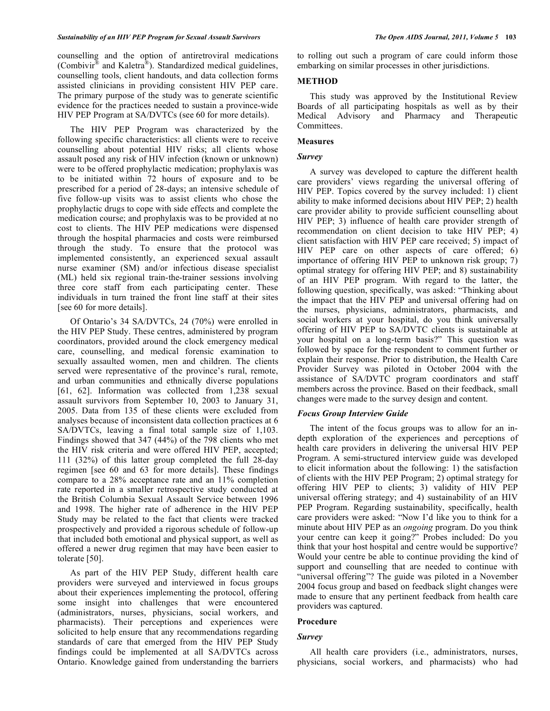counselling and the option of antiretroviral medications (Combivir<sup>®</sup> and Kaletra<sup>®</sup>). Standardized medical guidelines, counselling tools, client handouts, and data collection forms assisted clinicians in providing consistent HIV PEP care. The primary purpose of the study was to generate scientific evidence for the practices needed to sustain a province-wide HIV PEP Program at SA/DVTCs (see 60 for more details).

 The HIV PEP Program was characterized by the following specific characteristics: all clients were to receive counselling about potential HIV risks; all clients whose assault posed any risk of HIV infection (known or unknown) were to be offered prophylactic medication; prophylaxis was to be initiated within 72 hours of exposure and to be prescribed for a period of 28-days; an intensive schedule of five follow-up visits was to assist clients who chose the prophylactic drugs to cope with side effects and complete the medication course; and prophylaxis was to be provided at no cost to clients. The HIV PEP medications were dispensed through the hospital pharmacies and costs were reimbursed through the study. To ensure that the protocol was implemented consistently, an experienced sexual assault nurse examiner (SM) and/or infectious disease specialist (ML) held six regional train-the-trainer sessions involving three core staff from each participating center. These individuals in turn trained the front line staff at their sites [see 60 for more details].

 Of Ontario's 34 SA/DVTCs, 24 (70%) were enrolled in the HIV PEP Study. These centres, administered by program coordinators, provided around the clock emergency medical care, counselling, and medical forensic examination to sexually assaulted women, men and children. The clients served were representative of the province's rural, remote, and urban communities and ethnically diverse populations [61, 62]. Information was collected from 1,238 sexual assault survivors from September 10, 2003 to January 31, 2005. Data from 135 of these clients were excluded from analyses because of inconsistent data collection practices at 6 SA/DVTCs, leaving a final total sample size of 1,103. Findings showed that 347 (44%) of the 798 clients who met the HIV risk criteria and were offered HIV PEP, accepted; 111 (32%) of this latter group completed the full 28-day regimen [see 60 and 63 for more details]. These findings compare to a 28% acceptance rate and an 11% completion rate reported in a smaller retrospective study conducted at the British Columbia Sexual Assault Service between 1996 and 1998. The higher rate of adherence in the HIV PEP Study may be related to the fact that clients were tracked prospectively and provided a rigorous schedule of follow-up that included both emotional and physical support, as well as offered a newer drug regimen that may have been easier to tolerate [50].

 As part of the HIV PEP Study, different health care providers were surveyed and interviewed in focus groups about their experiences implementing the protocol, offering some insight into challenges that were encountered (administrators, nurses, physicians, social workers, and pharmacists). Their perceptions and experiences were solicited to help ensure that any recommendations regarding standards of care that emerged from the HIV PEP Study findings could be implemented at all SA/DVTCs across Ontario. Knowledge gained from understanding the barriers to rolling out such a program of care could inform those embarking on similar processes in other jurisdictions.

## **METHOD**

 This study was approved by the Institutional Review Boards of all participating hospitals as well as by their Medical Advisory and Pharmacy and Therapeutic Committees.

#### **Measures**

# *Survey*

 A survey was developed to capture the different health care providers' views regarding the universal offering of HIV PEP. Topics covered by the survey included: 1) client ability to make informed decisions about HIV PEP; 2) health care provider ability to provide sufficient counselling about HIV PEP; 3) influence of health care provider strength of recommendation on client decision to take HIV PEP; 4) client satisfaction with HIV PEP care received; 5) impact of HIV PEP care on other aspects of care offered; 6) importance of offering HIV PEP to unknown risk group; 7) optimal strategy for offering HIV PEP; and 8) sustainability of an HIV PEP program. With regard to the latter, the following question, specifically, was asked: "Thinking about the impact that the HIV PEP and universal offering had on the nurses, physicians, administrators, pharmacists, and social workers at your hospital, do you think universally offering of HIV PEP to SA/DVTC clients is sustainable at your hospital on a long-term basis?" This question was followed by space for the respondent to comment further or explain their response. Prior to distribution, the Health Care Provider Survey was piloted in October 2004 with the assistance of SA/DVTC program coordinators and staff members across the province. Based on their feedback, small changes were made to the survey design and content.

## *Focus Group Interview Guide*

 The intent of the focus groups was to allow for an indepth exploration of the experiences and perceptions of health care providers in delivering the universal HIV PEP Program. A semi-structured interview guide was developed to elicit information about the following: 1) the satisfaction of clients with the HIV PEP Program; 2) optimal strategy for offering HIV PEP to clients; 3) validity of HIV PEP universal offering strategy; and 4) sustainability of an HIV PEP Program. Regarding sustainability, specifically, health care providers were asked: "Now I'd like you to think for a minute about HIV PEP as an *ongoing* program. Do you think your centre can keep it going?" Probes included: Do you think that your host hospital and centre would be supportive? Would your centre be able to continue providing the kind of support and counselling that are needed to continue with "universal offering"? The guide was piloted in a November 2004 focus group and based on feedback slight changes were made to ensure that any pertinent feedback from health care providers was captured.

#### **Procedure**

#### *Survey*

 All health care providers (i.e., administrators, nurses, physicians, social workers, and pharmacists) who had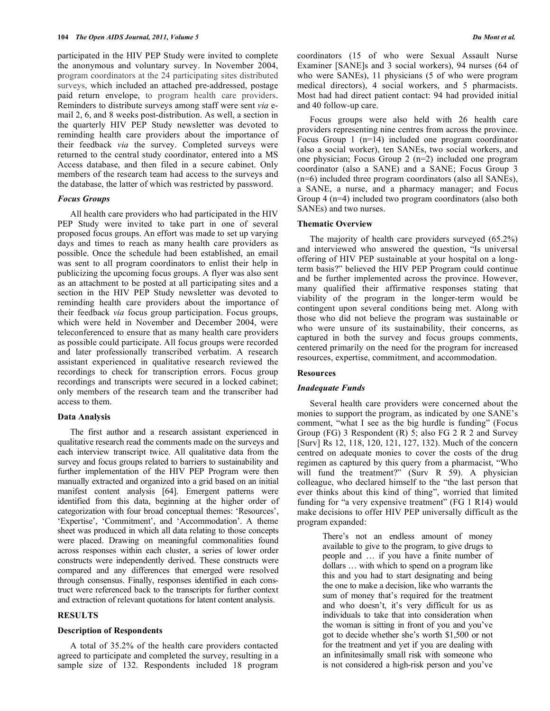participated in the HIV PEP Study were invited to complete the anonymous and voluntary survey. In November 2004, program coordinators at the 24 participating sites distributed surveys, which included an attached pre-addressed, postage paid return envelope, to program health care providers. Reminders to distribute surveys among staff were sent *via* email 2, 6, and 8 weeks post-distribution. As well, a section in the quarterly HIV PEP Study newsletter was devoted to reminding health care providers about the importance of their feedback *via* the survey. Completed surveys were returned to the central study coordinator, entered into a MS Access database, and then filed in a secure cabinet. Only members of the research team had access to the surveys and the database, the latter of which was restricted by password.

#### *Focus Groups*

 All health care providers who had participated in the HIV PEP Study were invited to take part in one of several proposed focus groups. An effort was made to set up varying days and times to reach as many health care providers as possible. Once the schedule had been established, an email was sent to all program coordinators to enlist their help in publicizing the upcoming focus groups. A flyer was also sent as an attachment to be posted at all participating sites and a section in the HIV PEP Study newsletter was devoted to reminding health care providers about the importance of their feedback *via* focus group participation. Focus groups, which were held in November and December 2004, were teleconferenced to ensure that as many health care providers as possible could participate. All focus groups were recorded and later professionally transcribed verbatim. A research assistant experienced in qualitative research reviewed the recordings to check for transcription errors. Focus group recordings and transcripts were secured in a locked cabinet; only members of the research team and the transcriber had access to them.

#### **Data Analysis**

 The first author and a research assistant experienced in qualitative research read the comments made on the surveys and each interview transcript twice. All qualitative data from the survey and focus groups related to barriers to sustainability and further implementation of the HIV PEP Program were then manually extracted and organized into a grid based on an initial manifest content analysis [64]. Emergent patterns were identified from this data, beginning at the higher order of categorization with four broad conceptual themes: 'Resources', 'Expertise', 'Commitment', and 'Accommodation'. A theme sheet was produced in which all data relating to those concepts were placed. Drawing on meaningful commonalities found across responses within each cluster, a series of lower order constructs were independently derived. These constructs were compared and any differences that emerged were resolved through consensus. Finally, responses identified in each construct were referenced back to the transcripts for further context and extraction of relevant quotations for latent content analysis.

#### **RESULTS**

#### **Description of Respondents**

 A total of 35.2% of the health care providers contacted agreed to participate and completed the survey, resulting in a sample size of 132. Respondents included 18 program

coordinators (15 of who were Sexual Assault Nurse Examiner [SANE]s and 3 social workers), 94 nurses (64 of who were SANEs), 11 physicians (5 of who were program medical directors), 4 social workers, and 5 pharmacists. Most had had direct patient contact: 94 had provided initial and 40 follow-up care.

 Focus groups were also held with 26 health care providers representing nine centres from across the province. Focus Group 1 (n=14) included one program coordinator (also a social worker), ten SANEs, two social workers, and one physician; Focus Group 2 (n=2) included one program coordinator (also a SANE) and a SANE; Focus Group 3 (n=6) included three program coordinators (also all SANEs), a SANE, a nurse, and a pharmacy manager; and Focus Group 4 (n=4) included two program coordinators (also both SANEs) and two nurses.

#### **Thematic Overview**

 The majority of health care providers surveyed (65.2%) and interviewed who answered the question, "Is universal offering of HIV PEP sustainable at your hospital on a longterm basis?" believed the HIV PEP Program could continue and be further implemented across the province. However, many qualified their affirmative responses stating that viability of the program in the longer-term would be contingent upon several conditions being met. Along with those who did not believe the program was sustainable or who were unsure of its sustainability, their concerns, as captured in both the survey and focus groups comments, centered primarily on the need for the program for increased resources, expertise, commitment, and accommodation.

#### **Resources**

#### *Inadequate Funds*

 Several health care providers were concerned about the monies to support the program, as indicated by one SANE's comment, "what I see as the big hurdle is funding" (Focus Group (FG) 3 Respondent (R) 5; also FG 2 R 2 and Survey [Surv] Rs 12, 118, 120, 121, 127, 132). Much of the concern centred on adequate monies to cover the costs of the drug regimen as captured by this query from a pharmacist, "Who will fund the treatment?" (Surv R 59). A physician colleague, who declared himself to the "the last person that ever thinks about this kind of thing", worried that limited funding for "a very expensive treatment" (FG 1 R14) would make decisions to offer HIV PEP universally difficult as the program expanded:

> There's not an endless amount of money available to give to the program, to give drugs to people and … if you have a finite number of dollars … with which to spend on a program like this and you had to start designating and being the one to make a decision, like who warrants the sum of money that's required for the treatment and who doesn't, it's very difficult for us as individuals to take that into consideration when the woman is sitting in front of you and you've got to decide whether she's worth \$1,500 or not for the treatment and yet if you are dealing with an infinitesimally small risk with someone who is not considered a high-risk person and you've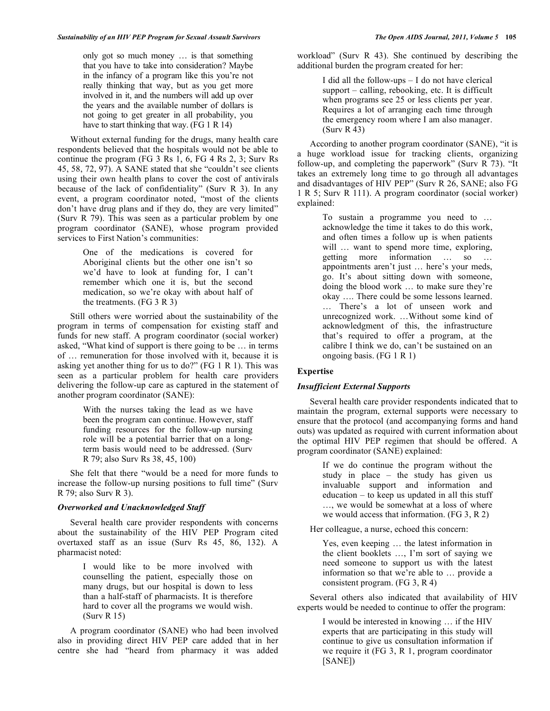only got so much money … is that something that you have to take into consideration? Maybe in the infancy of a program like this you're not really thinking that way, but as you get more involved in it, and the numbers will add up over the years and the available number of dollars is not going to get greater in all probability, you have to start thinking that way. (FG 1 R 14)

 Without external funding for the drugs, many health care respondents believed that the hospitals would not be able to continue the program (FG 3 Rs 1, 6, FG 4 Rs 2, 3; Surv Rs 45, 58, 72, 97). A SANE stated that she "couldn't see clients using their own health plans to cover the cost of antivirals because of the lack of confidentiality" (Surv R 3). In any event, a program coordinator noted, "most of the clients don't have drug plans and if they do, they are very limited" (Surv R 79). This was seen as a particular problem by one program coordinator (SANE), whose program provided services to First Nation's communities:

> One of the medications is covered for Aboriginal clients but the other one isn't so we'd have to look at funding for, I can't remember which one it is, but the second medication, so we're okay with about half of the treatments. (FG 3 R 3)

 Still others were worried about the sustainability of the program in terms of compensation for existing staff and funds for new staff. A program coordinator (social worker) asked, "What kind of support is there going to be … in terms of … remuneration for those involved with it, because it is asking yet another thing for us to do?" (FG 1 R 1). This was seen as a particular problem for health care providers delivering the follow-up care as captured in the statement of another program coordinator (SANE):

> With the nurses taking the lead as we have been the program can continue. However, staff funding resources for the follow-up nursing role will be a potential barrier that on a longterm basis would need to be addressed. (Surv R 79; also Surv Rs 38, 45, 100)

 She felt that there "would be a need for more funds to increase the follow-up nursing positions to full time" (Surv R 79; also Surv R 3).

#### *Overworked and Unacknowledged Staff*

 Several health care provider respondents with concerns about the sustainability of the HIV PEP Program cited overtaxed staff as an issue (Surv Rs 45, 86, 132). A pharmacist noted:

> I would like to be more involved with counselling the patient, especially those on many drugs, but our hospital is down to less than a half-staff of pharmacists. It is therefore hard to cover all the programs we would wish. (Surv R 15)

 A program coordinator (SANE) who had been involved also in providing direct HIV PEP care added that in her centre she had "heard from pharmacy it was added

workload" (Surv R 43). She continued by describing the additional burden the program created for her:

> I did all the follow-ups – I do not have clerical support – calling, rebooking, etc. It is difficult when programs see 25 or less clients per year. Requires a lot of arranging each time through the emergency room where I am also manager. (Surv R 43)

 According to another program coordinator (SANE), "it is a huge workload issue for tracking clients, organizing follow-up, and completing the paperwork" (Surv R 73). "It takes an extremely long time to go through all advantages and disadvantages of HIV PEP" (Surv R 26, SANE; also FG 1 R 5; Surv R 111). A program coordinator (social worker) explained:

> To sustain a programme you need to … acknowledge the time it takes to do this work, and often times a follow up is when patients will ... want to spend more time, exploring, getting more information … so … appointments aren't just … here's your meds, go. It's about sitting down with someone, doing the blood work … to make sure they're okay …. There could be some lessons learned. … There's a lot of unseen work and unrecognized work. …Without some kind of acknowledgment of this, the infrastructure that's required to offer a program, at the calibre I think we do, can't be sustained on an ongoing basis. (FG 1 R 1)

#### **Expertise**

## *Insufficient External Supports*

 Several health care provider respondents indicated that to maintain the program, external supports were necessary to ensure that the protocol (and accompanying forms and hand outs) was updated as required with current information about the optimal HIV PEP regimen that should be offered. A program coordinator (SANE) explained:

> If we do continue the program without the study in place – the study has given us invaluable support and information and education – to keep us updated in all this stuff …, we would be somewhat at a loss of where we would access that information. (FG 3, R 2)

Her colleague, a nurse, echoed this concern:

Yes, even keeping … the latest information in the client booklets …, I'm sort of saying we need someone to support us with the latest information so that we're able to … provide a consistent program. (FG 3, R 4)

 Several others also indicated that availability of HIV experts would be needed to continue to offer the program:

> I would be interested in knowing … if the HIV experts that are participating in this study will continue to give us consultation information if we require it (FG 3, R 1, program coordinator [SANE])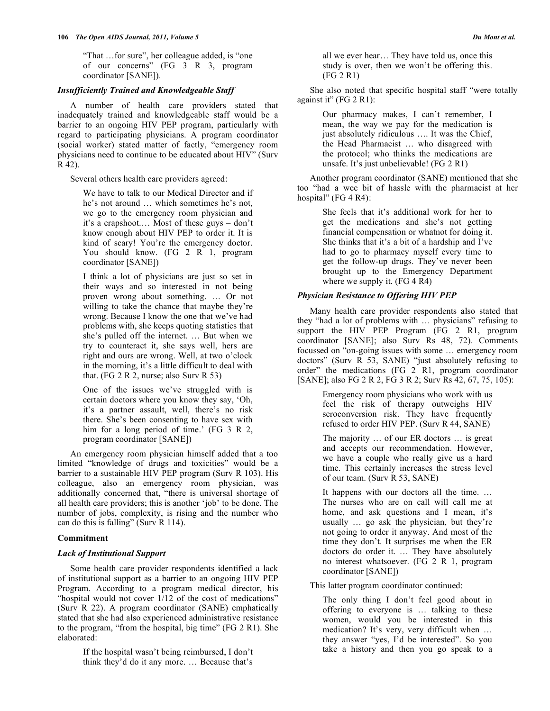"That …for sure", her colleague added, is "one of our concerns"  $(FG \t3 R \t3, program)$ coordinator [SANE]).

## *Insufficiently Trained and Knowledgeable Staff*

 A number of health care providers stated that inadequately trained and knowledgeable staff would be a barrier to an ongoing HIV PEP program, particularly with regard to participating physicians. A program coordinator (social worker) stated matter of factly, "emergency room physicians need to continue to be educated about HIV" (Surv R 42).

Several others health care providers agreed:

We have to talk to our Medical Director and if he's not around … which sometimes he's not, we go to the emergency room physician and it's a crapshoot.… Most of these guys – don't know enough about HIV PEP to order it. It is kind of scary! You're the emergency doctor. You should know. (FG 2 R 1, program coordinator [SANE])

I think a lot of physicians are just so set in their ways and so interested in not being proven wrong about something. … Or not willing to take the chance that maybe they're wrong. Because I know the one that we've had problems with, she keeps quoting statistics that she's pulled off the internet. … But when we try to counteract it, she says well, hers are right and ours are wrong. Well, at two o'clock in the morning, it's a little difficult to deal with that. (FG 2 R 2, nurse; also Surv R 53)

One of the issues we've struggled with is certain doctors where you know they say, 'Oh, it's a partner assault, well, there's no risk there. She's been consenting to have sex with him for a long period of time.' (FG 3 R 2, program coordinator [SANE])

 An emergency room physician himself added that a too limited "knowledge of drugs and toxicities" would be a barrier to a sustainable HIV PEP program (Surv R 103). His colleague, also an emergency room physician, was additionally concerned that, "there is universal shortage of all health care providers; this is another 'job' to be done. The number of jobs, complexity, is rising and the number who can do this is falling" (Surv R 114).

## **Commitment**

## *Lack of Institutional Support*

 Some health care provider respondents identified a lack of institutional support as a barrier to an ongoing HIV PEP Program. According to a program medical director, his "hospital would not cover 1/12 of the cost of medications" (Surv R 22). A program coordinator (SANE) emphatically stated that she had also experienced administrative resistance to the program, "from the hospital, big time" (FG 2 R1). She elaborated:

> If the hospital wasn't being reimbursed, I don't think they'd do it any more. … Because that's

all we ever hear… They have told us, once this study is over, then we won't be offering this. (FG 2 R1)

 She also noted that specific hospital staff "were totally against it" (FG 2 R1):

> Our pharmacy makes, I can't remember, I mean, the way we pay for the medication is just absolutely ridiculous …. It was the Chief, the Head Pharmacist … who disagreed with the protocol; who thinks the medications are unsafe. It's just unbelievable! (FG 2 R1)

 Another program coordinator (SANE) mentioned that she too "had a wee bit of hassle with the pharmacist at her hospital" (FG 4 R4):

> She feels that it's additional work for her to get the medications and she's not getting financial compensation or whatnot for doing it. She thinks that it's a bit of a hardship and I've had to go to pharmacy myself every time to get the follow-up drugs. They've never been brought up to the Emergency Department where we supply it. (FG 4 R4)

## *Physician Resistance to Offering HIV PEP*

 Many health care provider respondents also stated that they "had a lot of problems with … physicians" refusing to support the HIV PEP Program (FG 2 R1, program coordinator [SANE]; also Surv Rs 48, 72). Comments focussed on "on-going issues with some … emergency room doctors" (Surv R 53, SANE) "just absolutely refusing to order" the medications (FG 2 R1, program coordinator [SANE]; also FG 2 R 2, FG 3 R 2; Surv Rs 42, 67, 75, 105):

> Emergency room physicians who work with us feel the risk of therapy outweighs HIV seroconversion risk. They have frequently refused to order HIV PEP. (Surv R 44, SANE)

> The majority … of our ER doctors … is great and accepts our recommendation. However, we have a couple who really give us a hard time. This certainly increases the stress level of our team. (Surv R 53, SANE)

> It happens with our doctors all the time. … The nurses who are on call will call me at home, and ask questions and I mean, it's usually … go ask the physician, but they're not going to order it anyway. And most of the time they don't. It surprises me when the ER doctors do order it. … They have absolutely no interest whatsoever. (FG 2 R 1, program coordinator [SANE])

This latter program coordinator continued:

The only thing I don't feel good about in offering to everyone is … talking to these women, would you be interested in this medication? It's very, very difficult when … they answer "yes, I'd be interested". So you take a history and then you go speak to a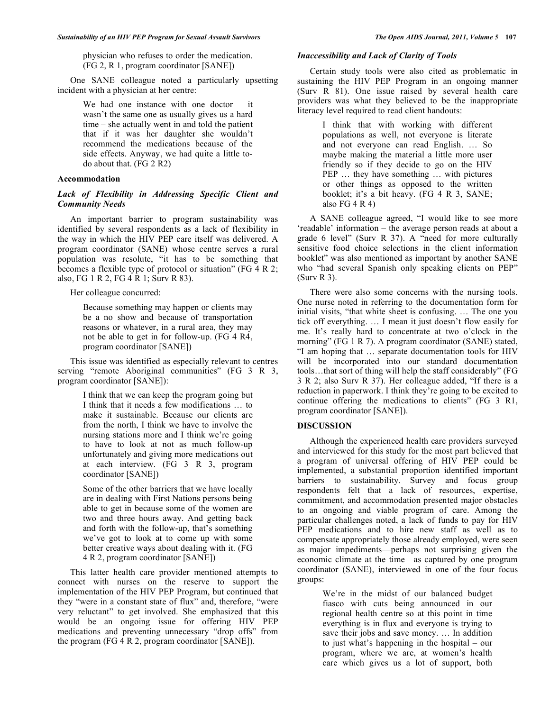physician who refuses to order the medication. (FG 2, R 1, program coordinator [SANE])

 One SANE colleague noted a particularly upsetting incident with a physician at her centre:

> We had one instance with one doctor – it wasn't the same one as usually gives us a hard time – she actually went in and told the patient that if it was her daughter she wouldn't recommend the medications because of the side effects. Anyway, we had quite a little todo about that. (FG 2 R2)

## **Accommodation**

## *Lack of Flexibility in Addressing Specific Client and Community Needs*

 An important barrier to program sustainability was identified by several respondents as a lack of flexibility in the way in which the HIV PEP care itself was delivered. A program coordinator (SANE) whose centre serves a rural population was resolute, "it has to be something that becomes a flexible type of protocol or situation" (FG 4 R 2; also, FG 1 R 2, FG 4 R 1; Surv R 83).

Her colleague concurred:

Because something may happen or clients may be a no show and because of transportation reasons or whatever, in a rural area, they may not be able to get in for follow-up. (FG 4 R4, program coordinator [SANE])

 This issue was identified as especially relevant to centres serving "remote Aboriginal communities" (FG 3 R 3, program coordinator [SANE]):

> I think that we can keep the program going but I think that it needs a few modifications … to make it sustainable. Because our clients are from the north, I think we have to involve the nursing stations more and I think we're going to have to look at not as much follow-up unfortunately and giving more medications out at each interview. (FG 3 R 3, program coordinator [SANE])

Some of the other barriers that we have locally are in dealing with First Nations persons being able to get in because some of the women are two and three hours away. And getting back and forth with the follow-up, that's something we've got to look at to come up with some better creative ways about dealing with it. (FG 4 R 2, program coordinator [SANE])

 This latter health care provider mentioned attempts to connect with nurses on the reserve to support the implementation of the HIV PEP Program, but continued that they "were in a constant state of flux" and, therefore, "were very reluctant" to get involved. She emphasized that this would be an ongoing issue for offering HIV PEP medications and preventing unnecessary "drop offs" from the program (FG 4 R 2, program coordinator [SANE]).

## *Inaccessibility and Lack of Clarity of Tools*

 Certain study tools were also cited as problematic in sustaining the HIV PEP Program in an ongoing manner (Surv R 81). One issue raised by several health care providers was what they believed to be the inappropriate literacy level required to read client handouts:

> I think that with working with different populations as well, not everyone is literate and not everyone can read English. … So maybe making the material a little more user friendly so if they decide to go on the HIV PEP … they have something … with pictures or other things as opposed to the written booklet; it's a bit heavy. (FG 4 R 3, SANE; also  $FG 4 R 4$ )

 A SANE colleague agreed, "I would like to see more 'readable' information – the average person reads at about a grade 6 level" (Surv R 37). A "need for more culturally sensitive food choice selections in the client information booklet" was also mentioned as important by another SANE who "had several Spanish only speaking clients on PEP" (Surv R 3).

 There were also some concerns with the nursing tools. One nurse noted in referring to the documentation form for initial visits, "that white sheet is confusing. … The one you tick off everything. … I mean it just doesn't flow easily for me. It's really hard to concentrate at two o'clock in the morning" (FG 1 R 7). A program coordinator (SANE) stated, "I am hoping that … separate documentation tools for HIV will be incorporated into our standard documentation tools…that sort of thing will help the staff considerably" (FG 3 R 2; also Surv R 37). Her colleague added, "If there is a reduction in paperwork. I think they're going to be excited to continue offering the medications to clients" (FG 3 R1, program coordinator [SANE]).

#### **DISCUSSION**

 Although the experienced health care providers surveyed and interviewed for this study for the most part believed that a program of universal offering of HIV PEP could be implemented, a substantial proportion identified important barriers to sustainability. Survey and focus group respondents felt that a lack of resources, expertise, commitment, and accommodation presented major obstacles to an ongoing and viable program of care. Among the particular challenges noted, a lack of funds to pay for HIV PEP medications and to hire new staff as well as to compensate appropriately those already employed, were seen as major impediments—perhaps not surprising given the economic climate at the time—as captured by one program coordinator (SANE), interviewed in one of the four focus groups:

> We're in the midst of our balanced budget fiasco with cuts being announced in our regional health centre so at this point in time everything is in flux and everyone is trying to save their jobs and save money. … In addition to just what's happening in the hospital – our program, where we are, at women's health care which gives us a lot of support, both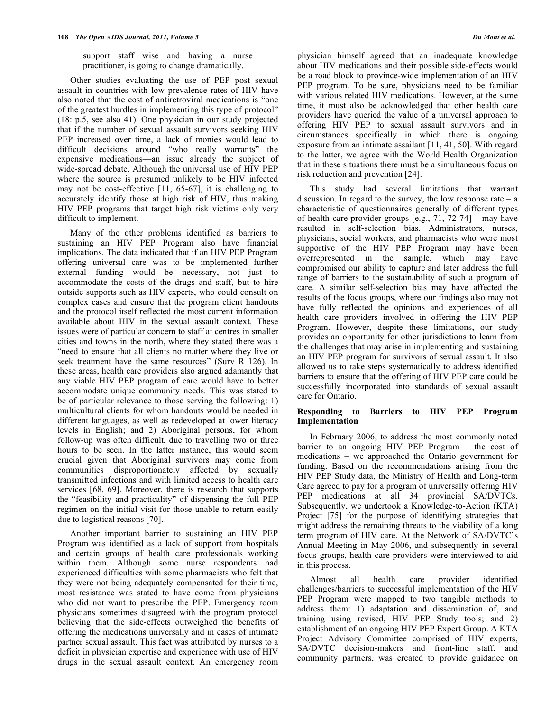support staff wise and having a nurse practitioner, is going to change dramatically.

 Other studies evaluating the use of PEP post sexual assault in countries with low prevalence rates of HIV have also noted that the cost of antiretroviral medications is "one of the greatest hurdles in implementing this type of protocol" (18: p.5, see also 41). One physician in our study projected that if the number of sexual assault survivors seeking HIV PEP increased over time, a lack of monies would lead to difficult decisions around "who really warrants" the expensive medications—an issue already the subject of wide-spread debate. Although the universal use of HIV PEP where the source is presumed unlikely to be HIV infected may not be cost-effective [11, 65-67], it is challenging to accurately identify those at high risk of HIV, thus making HIV PEP programs that target high risk victims only very difficult to implement.

 Many of the other problems identified as barriers to sustaining an HIV PEP Program also have financial implications. The data indicated that if an HIV PEP Program offering universal care was to be implemented further external funding would be necessary, not just to accommodate the costs of the drugs and staff, but to hire outside supports such as HIV experts, who could consult on complex cases and ensure that the program client handouts and the protocol itself reflected the most current information available about HIV in the sexual assault context. These issues were of particular concern to staff at centres in smaller cities and towns in the north, where they stated there was a "need to ensure that all clients no matter where they live or seek treatment have the same resources" (Surv R 126). In these areas, health care providers also argued adamantly that any viable HIV PEP program of care would have to better accommodate unique community needs. This was stated to be of particular relevance to those serving the following: 1) multicultural clients for whom handouts would be needed in different languages, as well as redeveloped at lower literacy levels in English; and 2) Aboriginal persons, for whom follow-up was often difficult, due to travelling two or three hours to be seen. In the latter instance, this would seem crucial given that Aboriginal survivors may come from communities disproportionately affected by sexually transmitted infections and with limited access to health care services [68, 69]. Moreover, there is research that supports the "feasibility and practicality" of dispensing the full PEP regimen on the initial visit for those unable to return easily due to logistical reasons [70].

 Another important barrier to sustaining an HIV PEP Program was identified as a lack of support from hospitals and certain groups of health care professionals working within them. Although some nurse respondents had experienced difficulties with some pharmacists who felt that they were not being adequately compensated for their time, most resistance was stated to have come from physicians who did not want to prescribe the PEP. Emergency room physicians sometimes disagreed with the program protocol believing that the side-effects outweighed the benefits of offering the medications universally and in cases of intimate partner sexual assault. This fact was attributed by nurses to a deficit in physician expertise and experience with use of HIV drugs in the sexual assault context. An emergency room

physician himself agreed that an inadequate knowledge about HIV medications and their possible side-effects would be a road block to province-wide implementation of an HIV PEP program. To be sure, physicians need to be familiar with various related HIV medications. However, at the same time, it must also be acknowledged that other health care providers have queried the value of a universal approach to offering HIV PEP to sexual assault survivors and in circumstances specifically in which there is ongoing exposure from an intimate assailant [11, 41, 50]. With regard to the latter, we agree with the World Health Organization that in these situations there must be a simultaneous focus on risk reduction and prevention [24].

 This study had several limitations that warrant discussion. In regard to the survey, the low response rate  $-$  a characteristic of questionnaires generally of different types of health care provider groups [e.g., 71, 72-74] – may have resulted in self-selection bias. Administrators, nurses, physicians, social workers, and pharmacists who were most supportive of the HIV PEP Program may have been overrepresented in the sample, which may have compromised our ability to capture and later address the full range of barriers to the sustainability of such a program of care. A similar self-selection bias may have affected the results of the focus groups, where our findings also may not have fully reflected the opinions and experiences of all health care providers involved in offering the HIV PEP Program. However, despite these limitations, our study provides an opportunity for other jurisdictions to learn from the challenges that may arise in implementing and sustaining an HIV PEP program for survivors of sexual assault. It also allowed us to take steps systematically to address identified barriers to ensure that the offering of HIV PEP care could be successfully incorporated into standards of sexual assault care for Ontario.

## **Responding to Barriers to HIV PEP Program Implementation**

 In February 2006, to address the most commonly noted barrier to an ongoing HIV PEP Program – the cost of medications – we approached the Ontario government for funding. Based on the recommendations arising from the HIV PEP Study data, the Ministry of Health and Long-term Care agreed to pay for a program of universally offering HIV PEP medications at all 34 provincial SA/DVTCs. Subsequently, we undertook a Knowledge-to-Action (KTA) Project [75] for the purpose of identifying strategies that might address the remaining threats to the viability of a long term program of HIV care. At the Network of SA/DVTC's Annual Meeting in May 2006, and subsequently in several focus groups, health care providers were interviewed to aid in this process.

 Almost all health care provider identified challenges/barriers to successful implementation of the HIV PEP Program were mapped to two tangible methods to address them: 1) adaptation and dissemination of, and training using revised, HIV PEP Study tools; and 2) establishment of an ongoing HIV PEP Expert Group. A KTA Project Advisory Committee comprised of HIV experts, SA/DVTC decision-makers and front-line staff, and community partners, was created to provide guidance on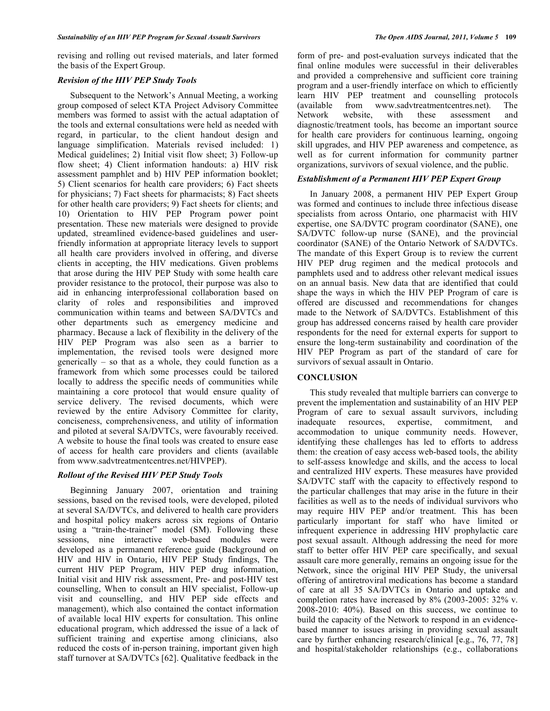revising and rolling out revised materials, and later formed the basis of the Expert Group.

## *Revision of the HIV PEP Study Tools*

 Subsequent to the Network's Annual Meeting, a working group composed of select KTA Project Advisory Committee members was formed to assist with the actual adaptation of the tools and external consultations were held as needed with regard, in particular, to the client handout design and language simplification. Materials revised included: 1) Medical guidelines; 2) Initial visit flow sheet; 3) Follow-up flow sheet; 4) Client information handouts: a) HIV risk assessment pamphlet and b) HIV PEP information booklet; 5) Client scenarios for health care providers; 6) Fact sheets for physicians; 7) Fact sheets for pharmacists; 8) Fact sheets for other health care providers; 9) Fact sheets for clients; and 10) Orientation to HIV PEP Program power point presentation. These new materials were designed to provide updated, streamlined evidence-based guidelines and userfriendly information at appropriate literacy levels to support all health care providers involved in offering, and diverse clients in accepting, the HIV medications. Given problems that arose during the HIV PEP Study with some health care provider resistance to the protocol, their purpose was also to aid in enhancing interprofessional collaboration based on clarity of roles and responsibilities and improved communication within teams and between SA/DVTCs and other departments such as emergency medicine and pharmacy. Because a lack of flexibility in the delivery of the HIV PEP Program was also seen as a barrier to implementation, the revised tools were designed more generically – so that as a whole, they could function as a framework from which some processes could be tailored locally to address the specific needs of communities while maintaining a core protocol that would ensure quality of service delivery. The revised documents, which were reviewed by the entire Advisory Committee for clarity, conciseness, comprehensiveness, and utility of information and piloted at several SA/DVTCs, were favourably received. A website to house the final tools was created to ensure ease of access for health care providers and clients (available from www.sadvtreatmentcentres.net/HIVPEP).

## *Rollout of the Revised HIV PEP Study Tools*

 Beginning January 2007, orientation and training sessions, based on the revised tools, were developed, piloted at several SA/DVTCs, and delivered to health care providers and hospital policy makers across six regions of Ontario using a "train-the-trainer" model (SM). Following these sessions, nine interactive web-based modules were developed as a permanent reference guide (Background on HIV and HIV in Ontario, HIV PEP Study findings, The current HIV PEP Program, HIV PEP drug information, Initial visit and HIV risk assessment, Pre- and post-HIV test counselling, When to consult an HIV specialist, Follow-up visit and counselling, and HIV PEP side effects and management), which also contained the contact information of available local HIV experts for consultation. This online educational program, which addressed the issue of a lack of sufficient training and expertise among clinicians, also reduced the costs of in-person training, important given high staff turnover at SA/DVTCs [62]. Qualitative feedback in the

form of pre- and post-evaluation surveys indicated that the final online modules were successful in their deliverables and provided a comprehensive and sufficient core training program and a user-friendly interface on which to efficiently learn HIV PEP treatment and counselling protocols (available from www.sadvtreatmentcentres.net). The Network website, with these assessment and diagnostic/treatment tools, has become an important source for health care providers for continuous learning, ongoing skill upgrades, and HIV PEP awareness and competence, as well as for current information for community partner organizations, survivors of sexual violence, and the public.

## *Establishment of a Permanent HIV PEP Expert Group*

 In January 2008, a permanent HIV PEP Expert Group was formed and continues to include three infectious disease specialists from across Ontario, one pharmacist with HIV expertise, one SA/DVTC program coordinator (SANE), one SA/DVTC follow-up nurse (SANE), and the provincial coordinator (SANE) of the Ontario Network of SA/DVTCs. The mandate of this Expert Group is to review the current HIV PEP drug regimen and the medical protocols and pamphlets used and to address other relevant medical issues on an annual basis. New data that are identified that could shape the ways in which the HIV PEP Program of care is offered are discussed and recommendations for changes made to the Network of SA/DVTCs. Establishment of this group has addressed concerns raised by health care provider respondents for the need for external experts for support to ensure the long-term sustainability and coordination of the HIV PEP Program as part of the standard of care for survivors of sexual assault in Ontario.

## **CONCLUSION**

 This study revealed that multiple barriers can converge to prevent the implementation and sustainability of an HIV PEP Program of care to sexual assault survivors, including<br>inadequate resources, expertise, commitment, and inadequate resources, expertise, commitment, and accommodation to unique community needs. However, identifying these challenges has led to efforts to address them: the creation of easy access web-based tools, the ability to self-assess knowledge and skills, and the access to local and centralized HIV experts. These measures have provided SA/DVTC staff with the capacity to effectively respond to the particular challenges that may arise in the future in their facilities as well as to the needs of individual survivors who may require HIV PEP and/or treatment. This has been particularly important for staff who have limited or infrequent experience in addressing HIV prophylactic care post sexual assault. Although addressing the need for more staff to better offer HIV PEP care specifically, and sexual assault care more generally, remains an ongoing issue for the Network, since the original HIV PEP Study, the universal offering of antiretroviral medications has become a standard of care at all 35 SA/DVTCs in Ontario and uptake and completion rates have increased by 8% (2003-2005: 32% v. 2008-2010: 40%). Based on this success, we continue to build the capacity of the Network to respond in an evidencebased manner to issues arising in providing sexual assault care by further enhancing research/clinical [e.g., 76, 77, 78] and hospital/stakeholder relationships (e.g., collaborations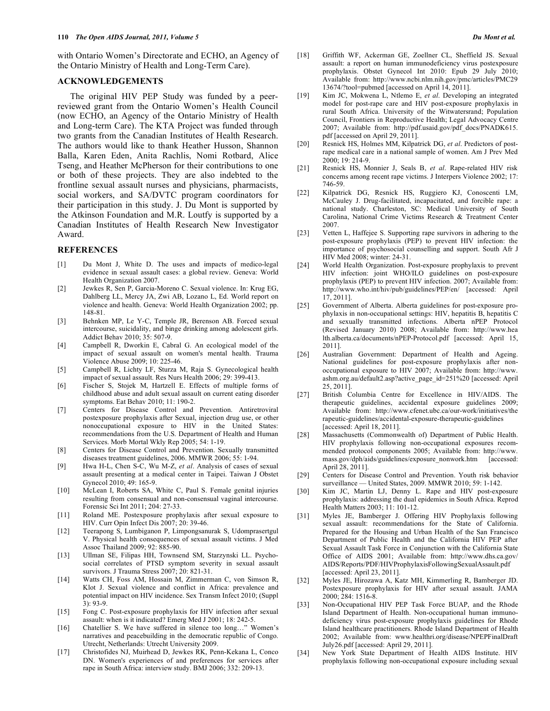with Ontario Women's Directorate and ECHO, an Agency of the Ontario Ministry of Health and Long-Term Care).

# **ACKNOWLEDGEMENTS**

 The original HIV PEP Study was funded by a peerreviewed grant from the Ontario Women's Health Council (now ECHO, an Agency of the Ontario Ministry of Health and Long-term Care). The KTA Project was funded through two grants from the Canadian Institutes of Health Research. The authors would like to thank Heather Husson, Shannon Balla, Karen Eden, Anita Rachlis, Nomi Rotbard, Alice Tseng, and Heather McPherson for their contributions to one or both of these projects. They are also indebted to the frontline sexual assault nurses and physicians, pharmacists, social workers, and SA/DVTC program coordinators for their participation in this study. J. Du Mont is supported by the Atkinson Foundation and M.R. Loutfy is supported by a Canadian Institutes of Health Research New Investigator Award.

#### **REFERENCES**

- [1] Du Mont J, White D. The uses and impacts of medico-legal evidence in sexual assault cases: a global review. Geneva: World Health Organization 2007.
- [2] Jewkes R, Sen P, Garcia-Moreno C. Sexual violence. In: Krug EG, Dahlberg LL, Mercy JA, Zwi AB, Lozano L, Ed. World report on violence and health. Geneva: World Health Organization 2002; pp. 148-81.
- [3] Behnken MP, Le Y-C, Temple JR, Berenson AB. Forced sexual intercourse, suicidality, and binge drinking among adolescent girls. Addict Behav 2010; 35: 507-9.
- [4] Campbell R, Dworkin E, Cabral G. An ecological model of the impact of sexual assault on women's mental health. Trauma Violence Abuse 2009; 10: 225-46.
- [5] Campbell R, Lichty LF, Sturza M, Raja S. Gynecological health impact of sexual assault. Res Nurs Health 2006; 29: 399-413.
- [6] Fischer S, Stojek M, Hartzell E. Effects of multiple forms of childhood abuse and adult sexual assault on current eating disorder symptoms. Eat Behav 2010; 11: 190-2.
- [7] Centers for Disease Control and Prevention. Antiretroviral postexposure prophylaxis after Sexual, injection drug use, or other nonoccupational exposure to HIV in the United States: recommendations from the U.S. Department of Health and Human Services. Morb Mortal Wkly Rep 2005; 54: 1-19.
- [8] Centers for Disease Control and Prevention. Sexually transmitted diseases treatment guidelines, 2006. MMWR 2006; 55: 1-94.
- [9] Hwa H-L, Chen S-C, Wu M-Z, *et al*. Analysis of cases of sexual assault presenting at a medical center in Taipei. Taiwan J Obstet Gynecol 2010; 49: 165-9.
- [10] McLean I, Roberts SA, White C, Paul S. Female genital injuries resulting from consensual and non-consensual vaginal intercourse. Forensic Sci Int 2011; 204: 27-33.
- [11] Roland ME. Postexposure prophylaxis after sexual exposure to HIV. Curr Opin Infect Dis 2007; 20: 39-46.
- [12] Teerapong S, Lumbiganon P, Limpongsanurak S, Udomprasertgul V. Physical health consequences of sexual assault victims. J Med Assoc Thailand 2009; 92: 885-90.
- [13] Ullman SE, Filipas HH, Townsend SM, Starzynski LL. Psychosocial correlates of PTSD symptom severity in sexual assault survivors. J Trauma Stress 2007; 20: 821-31.
- [14] Watts CH, Foss AM, Hossain M, Zimmerman C, von Simson R, Klot J. Sexual violence and conflict in Africa: prevalence and potential impact on HIV incidence. Sex Transm Infect 2010; (Suppl 3): 93-9.
- [15] Fong C. Post-exposure prophylaxis for HIV infection after sexual assault: when is it indicated? Emerg Med J 2001; 18: 242-5.
- [16] Chatellier S. We have suffered in silence too long…" Women's narratives and peacebuilding in the democratic republic of Congo. Utrecht, Netherlands: Utrecht University 2009.
- [17] Christofides NJ, Muirhead D, Jewkes RK, Penn-Kekana L, Conco DN. Women's experiences of and preferences for services after rape in South Africa: interview study. BMJ 2006; 332: 209-13.
- [18] Griffith WF, Ackerman GE, Zoellner CL, Sheffield JS. Sexual assault: a report on human immunodeficiency virus postexposure prophylaxis. Obstet Gynecol Int 2010: Epub 29 July 2010; Available from: http://www.ncbi.nlm.nih.gov/pmc/articles/PMC29 13674/?tool=pubmed [accessed on April 14, 2011].
- [19] Kim JC, Mokwena L, Ntlemo E, *et al*. Developing an integrated model for post-rape care and HIV post-exposure prophylaxis in rural South Africa. University of the Witwatersrand; Population Council, Frontiers in Reproductive Health; Legal Advocacy Centre 2007; Available from: http://pdf.usaid.gov/pdf\_docs/PNADK615. pdf [accessed on April 29, 2011].
- [20] Resnick HS, Holmes MM, Kilpatrick DG, *et al*. Predictors of postrape medical care in a national sample of women. Am J Prev Med 2000; 19: 214-9.
- [21] Resnick HS, Monnier J, Seals B, *et al*. Rape-related HIV risk concerns among recent rape victims. J Interpers Violence 2002; 17: 746-59.
- [22] Kilpatrick DG, Resnick HS, Ruggiero KJ, Conoscenti LM, McCauley J. Drug-facilitated, incapacitated, and forcible rape: a national study. Charleston, SC: Medical University of South Carolina, National Crime Victims Research & Treatment Center 2007.
- [23] Vetten L, Haffejee S. Supporting rape survivors in adhering to the post-exposure prophylaxis (PEP) to prevent HIV infection: the importance of psychosocial counselling and support. South Afr J HIV Med 2008; winter: 24-31.
- [24] World Health Organization. Post-exposure prophylaxis to prevent HIV infection: joint WHO/ILO guidelines on post-exposure prophylaxis (PEP) to prevent HIV infection. 2007; Available from: http://www.who.int/hiv/pub/guidelines/PEP/en/ [accessed: April 17, 2011].
- [25] Government of Alberta. Alberta guidelines for post-exposure prophylaxis in non-occupational settings: HIV, hepatitis B, hepatitis C and sexually transmitted infections. Alberta nPEP Protocol (Revised January 2010) 2008; Available from: http://www.hea lth.alberta.ca/documents/nPEP-Protocol.pdf [accessed: April 15, 2011].
- [26] Australian Government: Department of Health and Ageing. National guidelines for post-exposure prophylaxis after nonoccupational exposure to HIV 2007; Available from: http://www. ashm.org.au/default2.asp?active\_page\_id=251%20 [accessed: April 25, 2011].
- [27] British Columbia Centre for Excellence in HIV/AIDS. The therapeutic guidelines, accidental exposure guidelines 2009; Available from: http://www.cfenet.ubc.ca/our-work/initiatives/the rapeutic-guidelines/accidental-exposure-therapeutic-guidelines [accessed: April 18, 2011].
- [28] Massachusetts (Commonwealth of) Department of Public Health. HIV prophylaxis following non-occupational exposures recommended protocol components 2005; Available from: http://www. mass.gov/dph/aids/guidelines/exposure\_nonwork.htm [accessed: April 28, 2011].
- [29] Centers for Disease Control and Prevention. Youth risk behavior surveillance — United States, 2009. MMWR 2010; 59: 1-142.
- [30] Kim JC, Martin LJ, Denny L. Rape and HIV post-exposure prophylaxis: addressing the dual epidemics in South Africa. Reprod Health Matters 2003; 11: 101-12.
- [31] Myles JE, Bamberger J. Offering HIV Prophylaxis following sexual assault: recommendations for the State of California. Prepared for the Housing and Urban Health of the San Francisco Department of Public Health and the California HIV PEP after Sexual Assault Task Force in Conjunction with the California State Office of AIDS 2001; Available from: http://www.dhs.ca.gov/ AIDS/Reports/PDF/HIVProphylaxisFollowingSexualAssault.pdf [accessed: April 23, 2011].
- [32] Myles JE, Hirozawa A, Katz MH, Kimmerling R, Bamberger JD. Postexposure prophylaxis for HIV after sexual assault. JAMA 2000; 284: 1516-8.
- [33] Non-Occupational HIV PEP Task Force BUAP, and the Rhode Island Department of Health. Non-occupational human immunodeficiency virus post-exposure prophylaxis guidelines for Rhode Island healthcare practitioners. Rhode Island Department of Health 2002; Available from: www.healthri.org/disease/NPEPFinalDraft July26.pdf [accessed: April 29, 2011].
- [34] New York State Department of Health AIDS Institute. HIV prophylaxis following non-occupational exposure including sexual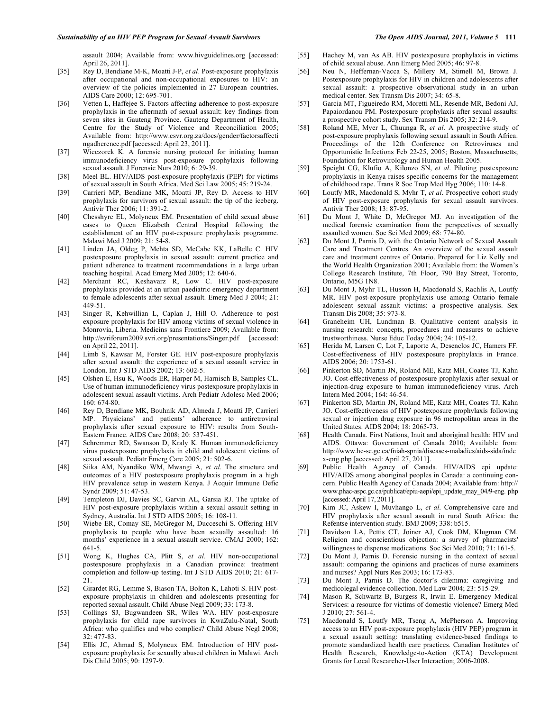assault 2004; Available from: www.hivguidelines.org [accessed: April 26, 2011].

- [35] Rey D, Bendiane M-K, Moatti J-P, *et al*. Post-exposure prophylaxis after occupational and non-occupational exposures to HIV: an overview of the policies implemented in 27 European countries. AIDS Care 2000; 12: 695-701.
- [36] Vetten L, Haffejee S. Factors affecting adherence to post-exposure prophylaxis in the aftermath of sexual assault: key findings from seven sites in Gauteng Province. Gauteng Department of Health, Centre for the Study of Violence and Reconciliation 2005; Available from: http://www.csvr.org.za/docs/gender/factorsaffecti ngadherence.pdf [accessed: April 23, 2011].
- [37] Wieczorek K. A forensic nursing protocol for initiating human immunodeficiency virus post-exposure prophylaxis following sexual assault. J Forensic Nurs 2010; 6: 29-39.
- [38] Meel BL. HIV/AIDS post-exposure prophylaxis (PEP) for victims of sexual assault in South Africa. Med Sci Law 2005; 45: 219-24.
- [39] Carrieri MP, Bendiane MK, Moatti JP, Rey D. Access to HIV prophylaxis for survivors of sexual assault: the tip of the iceberg. Antivir Ther 2006; 11: 391-2.
- [40] Chesshyre EL, Molyneux EM. Presentation of child sexual abuse cases to Queen Elizabeth Central Hospital following the establishment of an HIV post-exposure prophylaxis programme. Malawi Med J 2009; 21: 54-8.
- [41] Linden JA, Oldeg P, Mehta SD, McCabe KK, LaBelle C. HIV postexposure prophylaxis in sexual assault: current practice and patient adherence to treatment recommendations in a large urban teaching hospital. Acad Emerg Med 2005; 12: 640-6.
- [42] Merchant RC, Keshavarz R, Low C. HIV post-exposure prophylaxis provided at an urban paediatric emergency department to female adolescents after sexual assault. Emerg Med J 2004; 21: 449-51.
- [43] Singer R, Kehwillian L, Caplan J, Hill O. Adherence to post exposure prophylaxis for HIV among victims of sexual violence in Monrovia, Liberia. Medicins sans Frontiere 2009; Available from: http://svriforum2009.svri.org/presentations/Singer.pdf [accessed: on April 22, 2011].
- [44] Limb S, Kawsar M, Forster GE. HIV post-exposure prophylaxis after sexual assault: the experience of a sexual assault service in London. Int J STD AIDS 2002; 13: 602-5.
- [45] Olshen E, Hsu K, Woods ER, Harper M, Harnisch B, Samples CL. Use of human immunodeficiency virus postexposure prophylaxis in adolescent sexual assault victims. Arch Pediatr Adolesc Med 2006; 160: 674-80.
- [46] Rey D, Bendiane MK, Bouhnik AD, Almeda J, Moatti JP, Carrieri MP. Physicians' and patients' adherence to antiretroviral prophylaxis after sexual exposure to HIV: results from South-Eastern France. AIDS Care 2008; 20: 537-451.
- [47] Schremmer RD, Swanson D, Kraly K. Human immunodeficiency virus postexposure prophylaxis in child and adolescent victims of sexual assault. Pediatr Emerg Care 2005; 21: 502-6.
- [48] Siika AM, Nyandiko WM, Mwangi A, *et al*. The structure and outcomes of a HIV postexposure prophylaxis program in a high HIV prevalence setup in western Kenya. J Acquir Immune Defic Syndr 2009; 51: 47-53.
- [49] Templeton DJ, Davies SC, Garvin AL, Garsia RJ. The uptake of HIV post-exposure prophylaxis within a sexual assault setting in Sydney, Australia. Int J STD AIDS 2005; 16: 108-11.
- [50] Wiebe ER, Comay SE, McGregor M, Ducceschi S. Offering HIV prophylaxis to people who have been sexually assaulted: 16 months' experience in a sexual assault service. CMAJ 2000; 162: 641-5.
- [51] Wong K, Hughes CA, Plitt S, *et al*. HIV non-occupational postexposure prophylaxis in a Canadian province: treatment completion and follow-up testing. Int J STD AIDS 2010; 21: 617- 21.
- [52] Girardet RG, Lemme S, Biason TA, Bolton K, Lahoti S. HIV postexposure prophylaxis in children and adolescents presenting for reported sexual assault. Child Abuse Negl 2009; 33: 173-8.
- [53] Collings SJ, Bugwandeen SR, Wiles WA. HIV post-exposure prophylaxis for child rape survivors in KwaZulu-Natal, South Africa: who qualifies and who complies? Child Abuse Negl 2008; 32: 477-83.
- [54] Ellis JC, Ahmad S, Molyneux EM. Introduction of HIV postexposure prophylaxis for sexually abused children in Malawi. Arch Dis Child 2005; 90: 1297-9.
- [55] Hachey M, van As AB. HIV postexposure prophylaxis in victims of child sexual abuse. Ann Emerg Med 2005; 46: 97-8.
- [56] Neu N, Heffernan-Vacca S, Millery M, Stimell M, Brown J. Postexposure prophylaxis for HIV in children and adolescents after sexual assault: a prospective observational study in an urban medical center. Sex Transm Dis 2007; 34: 65-8.
- [57] Garcia MT, Figueiredo RM, Moretti ML, Resende MR, Bedoni AJ, Papaiordanou PM. Postexposure prophylaxis after sexual assaults: a prospective cohort study. Sex Transm Dis 2005; 32: 214-9.
- [58] Roland ME, Myer L, Chuunga R, *et al*. A prospective study of post-exposure prophylaxis following sexual assault in South Africa. Proceedings of the 12th Conference on Retroviruses and Opportunistic Infections Feb 22-25, 2005; Boston, Massachusetts; Foundation for Retrovirology and Human Health 2005.
- [59] Speight CG, Klufio A, Kilonzo SN, *et al*. Piloting postexposure prophylaxis in Kenya raises specific concerns for the management of childhood rape. Trans R Soc Trop Med Hyg 2006; 110: 14-8.
- [60] Loutfy MR, Macdonald S, Myhr T, *et al*. Prospective cohort study of HIV post-exposure prophylaxis for sexual assault survivors. Antivir Ther 2008; 13: 87-95.
- [61] Du Mont J, White D, McGregor MJ. An investigation of the medical forensic examination from the perspectives of sexually assaulted women. Soc Sci Med 2009; 68: 774-80.
- [62] Du Mont J, Parnis D, with the Ontario Network of Sexual Assault Care and Treatment Centres. An overview of the sexual assault care and treatment centres of Ontario. Prepared for Liz Kelly and the World Health Organization 2001; Available from: the Women's College Research Institute, 7th Floor, 790 Bay Street, Toronto, Ontario, M5G 1N8.
- [63] Du Mont J, Myhr TL, Husson H, Macdonald S, Rachlis A, Loutfy MR. HIV post-exposure prophylaxis use among Ontario female adolescent sexual assault victims: a prospective analysis. Sex Transm Dis 2008; 35: 973-8.
- [64] Graneheim UH, Lundman B. Qualitative content analysis in nursing research: concepts, procedures and measures to achieve trustworthiness. Nurse Educ Today 2004; 24: 105-12.
- [65] Herida M, Larsen C, Lot F, Laporte A, Desenclos JC, Hamers FF. Cost-effectiveness of HIV postexposure prophylaxis in France. AIDS 2006; 20: 1753-61.
- [66] Pinkerton SD, Martin JN, Roland ME, Katz MH, Coates TJ, Kahn JO. Cost-effectiveness of postexposure prophylaxis after sexual or injection-drug exposure to human immunodeficiency virus. Arch Intern Med 2004; 164: 46-54.
- [67] Pinkerton SD, Martin JN, Roland ME, Katz MH, Coates TJ, Kahn JO. Cost-effectiveness of HIV postexposure prophylaxis following sexual or injection drug exposure in 96 metropolitan areas in the United States. AIDS 2004; 18: 2065-73.
- [68] Health Canada. First Nations, Inuit and aboriginal health: HIV and AIDS. Ottawa: Government of Canada 2010; Available from: http://www.hc-sc.gc.ca/fniah-spnia/diseases-maladies/aids-sida/inde x-eng.php [accessed: April 27, 2011].
- [69] Public Health Agency of Canada. HIV/AIDS epi update: HIV/AIDS among aboriginal peoples in Canada: a continuing concern. Public Health Agency of Canada 2004; Available from: http:// www.phac-aspc.gc.ca/publicat/epiu-aepi/epi\_update\_may\_04/9-eng. php [accessed: April 17, 2011].
- [70] Kim JC, Askew I, Muvhango L, *et al*. Comprehensive care and HIV prophylaxis after sexual assault in rural South Africa: the Refentse intervention study. BMJ 2009; 338: b515.
- [71] Davidson LA, Pettis CT, Joiner AJ, Cook DM, Klugman CM. Religion and conscientious objection: a survey of pharmacists' willingness to dispense medications. Soc Sci Med 2010; 71: 161-5.
- [72] Du Mont J, Parnis D. Forensic nursing in the context of sexual assault: comparing the opinions and practices of nurse examiners and nurses? Appl Nurs Res 2003; 16: 173-83.
- [73] Du Mont J, Parnis D. The doctor's dilemma: caregiving and medicolegal evidence collection. Med Law 2004; 23: 515-29.
- [74] Mason R, Schwartz B, Burgess R, Irwin E. Emergency Medical Services: a resource for victims of domestic violence? Emerg Med J 2010; 27: 561-4.
- [75] Macdonald S, Loutfy MR, Tseng A, McPherson A. Improving access to an HIV post-exposure prophylaxis (HIV PEP) program in a sexual assault setting: translating evidence-based findings to promote standardized health care practices. Canadian Institutes of Health Research, Knowledge-to-Action (KTA) Development Grants for Local Researcher-User Interaction; 2006-2008.